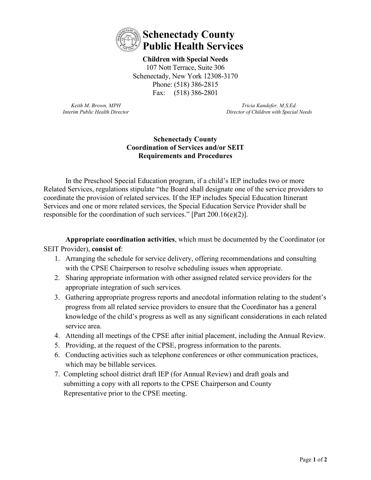

**Children with Special Needs**  107 Nott Terrace, Suite 306 Schenectady, New York 12308-3170 Phone: (518) 386-2815 Fax: (518) 386-2801

*Keith M. Brown, MPH Interim Public Health Director*

*Tricia Kandefer, M.S.Ed. Director of Children with Special Needs*

## **Schenectady County Coordination of Services and/or SEIT Requirements and Procedures**

In the Preschool Special Education program, if a child's IEP includes two or more Related Services, regulations stipulate "the Board shall designate one of the service providers to coordinate the provision of related services. If the IEP includes Special Education Itinerant Services and one or more related services, the Special Education Service Provider shall be responsible for the coordination of such services." [Part 200.16(e)(2)].

**Appropriate coordination activities**, which must be documented by the Coordinator (or SEIT Provider), **consist of**:

- 1. Arranging the schedule for service delivery, offering recommendations and consulting with the CPSE Chairperson to resolve scheduling issues when appropriate.
- 2. Sharing appropriate information with other assigned related service providers for the appropriate integration of such services.
- 3. Gathering appropriate progress reports and anecdotal information relating to the student's progress from all related service providers to ensure that the Coordinator has a general knowledge of the child's progress as well as any significant considerations in each related service area.
- 4. Attending all meetings of the CPSE after initial placement, including the Annual Review.
- 5. Providing, at the request of the CPSE, progress information to the parents.
- 6. Conducting activities such as telephone conferences or other communication practices, which may be billable services.
- 7. Completing school district draft IEP (for Annual Review) and draft goals and submitting a copy with all reports to the CPSE Chairperson and County Representative prior to the CPSE meeting.